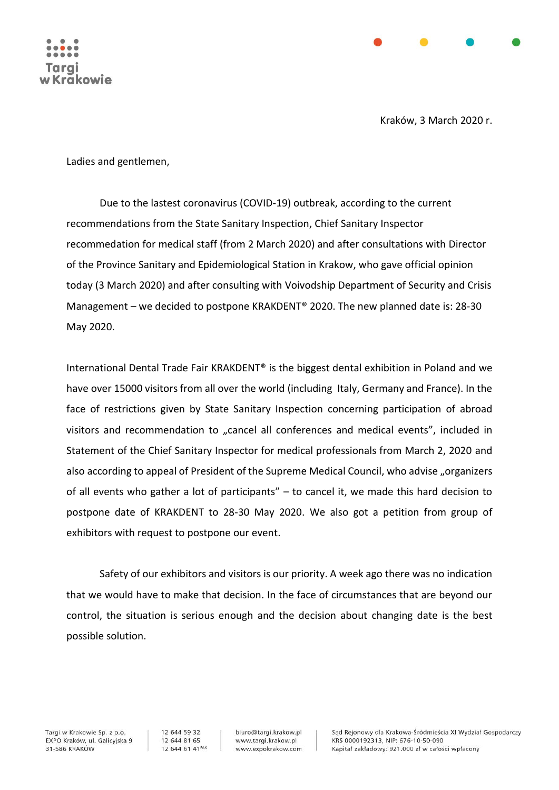

Kraków, 3 March 2020 r.

Ladies and gentlemen,

Due to the lastest coronavirus (COVID-19) outbreak, according to the current recommendations from the State Sanitary Inspection, Chief Sanitary Inspector recommedation for medical staff (from 2 March 2020) and after consultations with Director of the Province Sanitary and Epidemiological Station in Krakow, who gave official opinion today (3 March 2020) and after consulting with Voivodship Department of Security and Crisis Management – we decided to postpone KRAKDENT® 2020. The new planned date is: 28-30 May 2020.

International Dental Trade Fair KRAKDENT® is the biggest dental exhibition in Poland and we have over 15000 visitors from all over the world (including Italy, Germany and France). In the face of restrictions given by State Sanitary Inspection concerning participation of abroad visitors and recommendation to "cancel all conferences and medical events", included in Statement of the Chief Sanitary Inspector for medical professionals from March 2, 2020 and also according to appeal of President of the Supreme Medical Council, who advise "organizers of all events who gather a lot of participants" – to cancel it, we made this hard decision to postpone date of KRAKDENT to 28-30 May 2020. We also got a petition from group of exhibitors with request to postpone our event.

Safety of our exhibitors and visitors is our priority. A week ago there was no indication that we would have to make that decision. In the face of circumstances that are beyond our control, the situation is serious enough and the decision about changing date is the best possible solution.